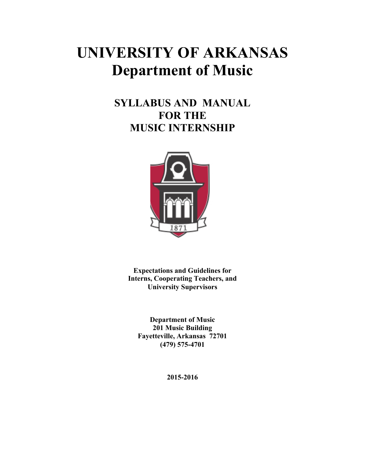## **UNIVERSITY OF ARKANSAS Department of Music**

## **SYLLABUS AND MANUAL FOR THE MUSIC INTERNSHIP**



**Expectations and Guidelines for Interns, Cooperating Teachers, and University Supervisors**

**Department of Music 201 Music Building Fayetteville, Arkansas 72701 (479) 575-4701**

**2015-2016**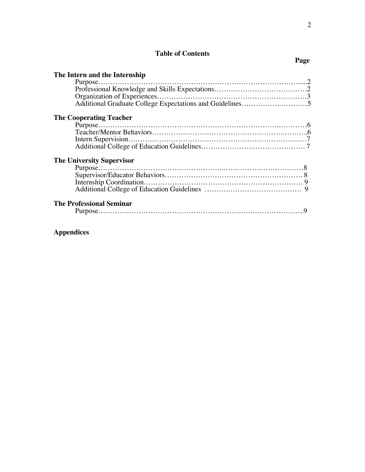# Table of Contents Page

| The Intern and the Internship    |  |
|----------------------------------|--|
|                                  |  |
|                                  |  |
|                                  |  |
|                                  |  |
| <b>The Cooperating Teacher</b>   |  |
| Purpose.                         |  |
|                                  |  |
|                                  |  |
|                                  |  |
| <b>The University Supervisor</b> |  |
|                                  |  |
|                                  |  |
|                                  |  |
|                                  |  |
|                                  |  |
| The Professional Seminar         |  |
|                                  |  |
|                                  |  |
|                                  |  |
|                                  |  |

## **Appendices**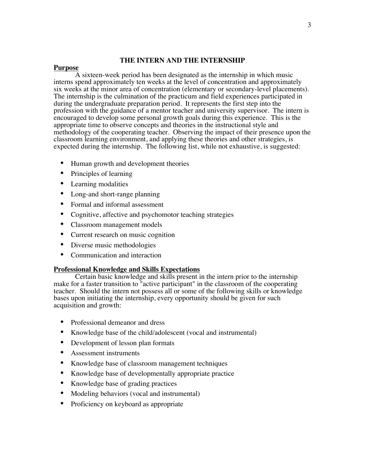#### **THE INTERN AND THE INTERNSHIP**

#### **Purpose**

A sixteen-week period has been designated as the internship in which music interns spend approximately ten weeks at the level of concentration and approximately six weeks at the minor area of concentration (elementary or secondary-level placements). The internship is the culmination of the practicum and field experiences participated in during the undergraduate preparation period. It represents the first step into the profession with the guidance of a mentor teacher and university supervisor. The intern is encouraged to develop some personal growth goals during this experience. This is the appropriate time to observe concepts and theories in the instructional style and methodology of the cooperating teacher. Observing the impact of their presence upon the classroom learning environment, and applying these theories and other strategies, is expected during the internship. The following list, while not exhaustive, is suggested:

- Human growth and development theories
- Principles of learning
- Learning modalities
- Long-and short-range planning
- Formal and informal assessment
- Cognitive, affective and psychomotor teaching strategies
- Classroom management models
- Current research on music cognition
- Diverse music methodologies
- Communication and interaction

#### **Professional Knowledge and Skills Expectations**

Certain basic knowledge and skills present in the intern prior to the internship make for a faster transition to "active participant" in the classroom of the cooperating teacher. Should the intern not possess all or some of the following skills or knowledge bases upon initiating the internship, every opportunity should be given for such acquisition and growth:

- Professional demeanor and dress
- Knowledge base of the child/adolescent (vocal and instrumental)
- Development of lesson plan formats
- Assessment instruments
- Knowledge base of classroom management techniques
- Knowledge base of developmentally appropriate practice
- Knowledge base of grading practices
- Modeling behaviors (vocal and instrumental)
- Proficiency on keyboard as appropriate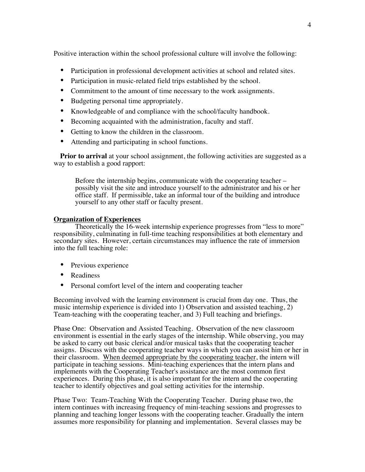Positive interaction within the school professional culture will involve the following:

- Participation in professional development activities at school and related sites.
- Participation in music-related field trips established by the school.
- Commitment to the amount of time necessary to the work assignments.
- Budgeting personal time appropriately.
- Knowledgeable of and compliance with the school/faculty handbook.
- Becoming acquainted with the administration, faculty and staff.
- Getting to know the children in the classroom.
- Attending and participating in school functions.

**Prior to arrival** at your school assignment, the following activities are suggested as a way to establish a good rapport:

Before the internship begins, communicate with the cooperating teacher – possibly visit the site and introduce yourself to the administrator and his or her office staff. If permissible, take an informal tour of the building and introduce yourself to any other staff or faculty present.

#### **Organization of Experiences**

Theoretically the 16-week internship experience progresses from "less to more" responsibility, culminating in full-time teaching responsibilities at both elementary and secondary sites. However, certain circumstances may influence the rate of immersion into the full teaching role:

- Previous experience
- Readiness
- Personal comfort level of the intern and cooperating teacher

Becoming involved with the learning environment is crucial from day one. Thus, the music internship experience is divided into 1) Observation and assisted teaching, 2) Team-teaching with the cooperating teacher, and 3) Full teaching and briefings.

Phase One: Observation and Assisted Teaching. Observation of the new classroom environment is essential in the early stages of the internship. While observing, you may be asked to carry out basic clerical and/or musical tasks that the cooperating teacher assigns. Discuss with the cooperating teacher ways in which you can assist him or her in their classroom. When deemed appropriate by the cooperating teacher, the intern will participate in teaching sessions. Mini-teaching experiences that the intern plans and implements with the Cooperating Teacher's assistance are the most common first experiences. During this phase, it is also important for the intern and the cooperating teacher to identify objectives and goal setting activities for the internship.

Phase Two: Team-Teaching With the Cooperating Teacher. During phase two, the intern continues with increasing frequency of mini-teaching sessions and progresses to planning and teaching longer lessons with the cooperating teacher. Gradually the intern assumes more responsibility for planning and implementation. Several classes may be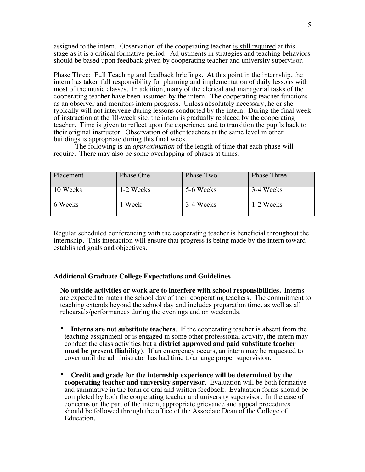assigned to the intern. Observation of the cooperating teacher is still required at this stage as it is a critical formative period. Adjustments in strategies and teaching behaviors should be based upon feedback given by cooperating teacher and university supervisor.

Phase Three: Full Teaching and feedback briefings. At this point in the internship, the intern has taken full responsibility for planning and implementation of daily lessons with most of the music classes. In addition, many of the clerical and managerial tasks of the cooperating teacher have been assumed by the intern. The cooperating teacher functions as an observer and monitors intern progress. Unless absolutely necessary, he or she typically will not intervene during lessons conducted by the intern. During the final week of instruction at the 10-week site, the intern is gradually replaced by the cooperating teacher. Time is given to reflect upon the experience and to transition the pupils back to their original instructor. Observation of other teachers at the same level in other buildings is appropriate during this final week.

The following is an *approximation* of the length of time that each phase will require. There may also be some overlapping of phases at times.

| Placement | <b>Phase One</b> | Phase Two | <b>Phase Three</b> |
|-----------|------------------|-----------|--------------------|
| 10 Weeks  | 1-2 Weeks        | 5-6 Weeks | 3-4 Weeks          |
| 6 Weeks   | Week             | 3-4 Weeks | 1-2 Weeks          |

Regular scheduled conferencing with the cooperating teacher is beneficial throughout the internship. This interaction will ensure that progress is being made by the intern toward established goals and objectives.

#### **Additional Graduate College Expectations and Guidelines**

**No outside activities or work are to interfere with school responsibilities.** Interns are expected to match the school day of their cooperating teachers. The commitment to teaching extends beyond the school day and includes preparation time, as well as all rehearsals/performances during the evenings and on weekends.

- **Interns are not substitute teachers**. If the cooperating teacher is absent from the teaching assignment or is engaged in some other professional activity, the intern may conduct the class activities but a **district approved and paid substitute teacher must be present (liability)**. If an emergency occurs, an intern may be requested to cover until the administrator has had time to arrange proper supervision.
- **Credit and grade for the internship experience will be determined by the cooperating teacher and university supervisor**. Evaluation will be both formative and summative in the form of oral and written feedback. Evaluation forms should be completed by both the cooperating teacher and university supervisor. In the case of concerns on the part of the intern, appropriate grievance and appeal procedures should be followed through the office of the Associate Dean of the College of Education.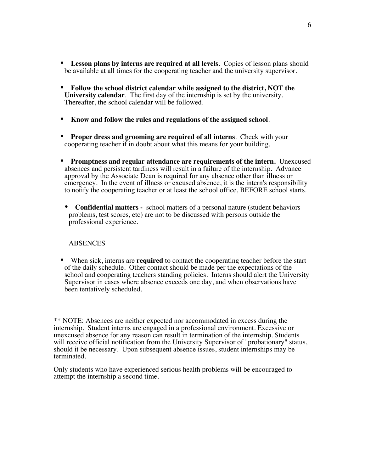- **Lesson plans by interns are required at all levels**. Copies of lesson plans should be available at all times for the cooperating teacher and the university supervisor.
- **Follow the school district calendar while assigned to the district, NOT the University calendar**. The first day of the internship is set by the university. Thereafter, the school calendar will be followed.
- **Know and follow the rules and regulations of the assigned school**.
- **Proper dress and grooming are required of all interns**. Check with your cooperating teacher if in doubt about what this means for your building.
- **Promptness and regular attendance are requirements of the intern.** Unexcused absences and persistent tardiness will result in a failure of the internship. Advance approval by the Associate Dean is required for any absence other than illness or emergency. In the event of illness or excused absence, it is the intern's responsibility to notify the cooperating teacher or at least the school office, BEFORE school starts.
- **Confidential matters** school matters of a personal nature (student behaviors problems, test scores, etc) are not to be discussed with persons outside the professional experience.

#### **ABSENCES**

• When sick, interns are **required** to contact the cooperating teacher before the start of the daily schedule. Other contact should be made per the expectations of the school and cooperating teachers standing policies. Interns should alert the University Supervisor in cases where absence exceeds one day, and when observations have been tentatively scheduled.

\*\* NOTE: Absences are neither expected nor accommodated in excess during the internship. Student interns are engaged in a professional environment. Excessive or unexcused absence for any reason can result in termination of the internship. Students will receive official notification from the University Supervisor of "probationary" status, should it be necessary. Upon subsequent absence issues, student internships may be terminated.

Only students who have experienced serious health problems will be encouraged to attempt the internship a second time.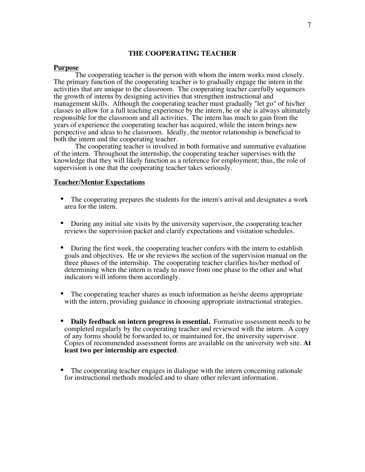#### **THE COOPERATING TEACHER**

#### **Purpose**

The cooperating teacher is the person with whom the intern works most closely. The primary function of the cooperating teacher is to gradually engage the intern in the activities that are unique to the classroom. The cooperating teacher carefully sequences the growth of interns by designing activities that strengthen instructional and management skills. Although the cooperating teacher must gradually "let go" of his/her classes to allow for a full teaching experience by the intern, he or she is always ultimately responsible for the classroom and all activities. The intern has much to gain from the years of experience the cooperating teacher has acquired, while the intern brings new perspective and ideas to he classroom. Ideally, the mentor relationship is beneficial to both the intern and the cooperating teacher.

The cooperating teacher is involved in both formative and summative evaluation of the intern. Throughout the internship, the cooperating teacher supervises with the knowledge that they will likely function as a reference for employment; thus, the role of supervision is one that the cooperating teacher takes seriously.

#### **Teacher/Mentor Expectations**

- The cooperating prepares the students for the intern's arrival and designates a work area for the intern.
- During any initial site visits by the university supervisor, the cooperating teacher reviews the supervision packet and clarify expectations and visitation schedules.
- During the first week, the cooperating teacher confers with the intern to establish goals and objectives. He or she reviews the section of the supervision manual on the three phases of the internship. The cooperating teacher clarifies his/her method of determining when the intern is ready to move from one phase to the other and what indicators will inform them accordingly.
- The cooperating teacher shares as much information as he/she deems appropriate with the intern, providing guidance in choosing appropriate instructional strategies.
- **Daily feedback on intern progress is essential.** Formative assessment needs to be completed regularly by the cooperating teacher and reviewed with the intern. A copy of any forms should be forwarded to, or maintained for, the university supervisor. Copies of recommended assessment forms are available on the university web site. **At least two per internship are expected**.
- The cooperating teacher engages in dialogue with the intern concerning rationale for instructional methods modeled and to share other relevant information.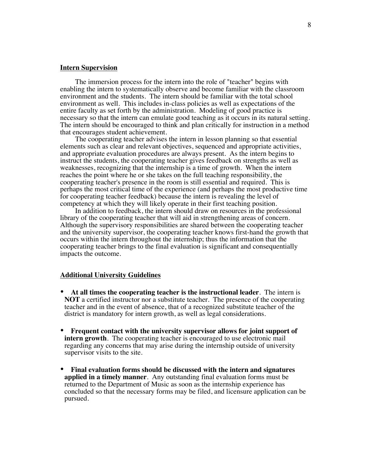#### **Intern Supervision**

The immersion process for the intern into the role of "teacher" begins with enabling the intern to systematically observe and become familiar with the classroom environment and the students. The intern should be familiar with the total school environment as well. This includes in-class policies as well as expectations of the entire faculty as set forth by the administration. Modeling of good practice is necessary so that the intern can emulate good teaching as it occurs in its natural setting. The intern should be encouraged to think and plan critically for instruction in a method that encourages student achievement.

The cooperating teacher advises the intern in lesson planning so that essential elements such as clear and relevant objectives, sequenced and appropriate activities, and appropriate evaluation procedures are always present. As the intern begins to instruct the students, the cooperating teacher gives feedback on strengths as well as weaknesses, recognizing that the internship is a time of growth. When the intern reaches the point where he or she takes on the full teaching responsibility, the cooperating teacher's presence in the room is still essential and required. This is perhaps the most critical time of the experience (and perhaps the most productive time for cooperating teacher feedback) because the intern is revealing the level of competency at which they will likely operate in their first teaching position.

In addition to feedback, the intern should draw on resources in the professional library of the cooperating teacher that will aid in strengthening areas of concern. Although the supervisory responsibilities are shared between the cooperating teacher and the university supervisor, the cooperating teacher knows first-hand the growth that occurs within the intern throughout the internship; thus the information that the cooperating teacher brings to the final evaluation is significant and consequentially impacts the outcome.

#### **Additional University Guidelines**

- **At all times the cooperating teacher is the instructional leader**. The intern is **NOT** a certified instructor nor a substitute teacher. The presence of the cooperating teacher and in the event of absence, that of a recognized substitute teacher of the district is mandatory for intern growth, as well as legal considerations.
- **Frequent contact with the university supervisor allows for joint support of intern growth**. The cooperating teacher is encouraged to use electronic mail regarding any concerns that may arise during the internship outside of university supervisor visits to the site.
- **Final evaluation forms should be discussed with the intern and signatures applied in a timely manner**. Any outstanding final evaluation forms must be returned to the Department of Music as soon as the internship experience has concluded so that the necessary forms may be filed, and licensure application can be pursued.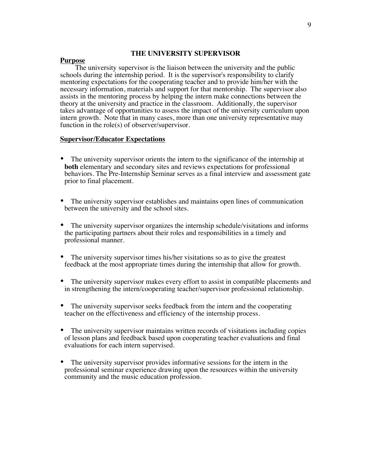#### **THE UNIVERSITY SUPERVISOR**

#### **Purpose**

The university supervisor is the liaison between the university and the public schools during the internship period. It is the supervisor's responsibility to clarify mentoring expectations for the cooperating teacher and to provide him/her with the necessary information, materials and support for that mentorship. The supervisor also assists in the mentoring process by helping the intern make connections between the theory at the university and practice in the classroom. Additionally, the supervisor takes advantage of opportunities to assess the impact of the university curriculum upon intern growth. Note that in many cases, more than one university representative may function in the role(s) of observer/supervisor.

#### **Supervisor/Educator Expectations**

- The university supervisor orients the intern to the significance of the internship at **both** elementary and secondary sites and reviews expectations for professional behaviors. The Pre-Internship Seminar serves as a final interview and assessment gate prior to final placement.
- The university supervisor establishes and maintains open lines of communication between the university and the school sites.
- The university supervisor organizes the internship schedule/visitations and informs the participating partners about their roles and responsibilities in a timely and professional manner.
- The university supervisor times his/her visitations so as to give the greatest feedback at the most appropriate times during the internship that allow for growth.
- The university supervisor makes every effort to assist in compatible placements and in strengthening the intern/cooperating teacher/supervisor professional relationship.
- The university supervisor seeks feedback from the intern and the cooperating teacher on the effectiveness and efficiency of the internship process.
- The university supervisor maintains written records of visitations including copies of lesson plans and feedback based upon cooperating teacher evaluations and final evaluations for each intern supervised.
- The university supervisor provides informative sessions for the intern in the professional seminar experience drawing upon the resources within the university community and the music education profession.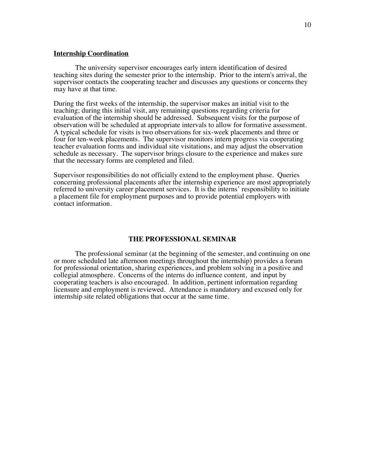#### **Internship Coordination**

The university supervisor encourages early intern identification of desired teaching sites during the semester prior to the internship. Prior to the intern's arrival, the supervisor contacts the cooperating teacher and discusses any questions or concerns they may have at that time.

During the first weeks of the internship, the supervisor makes an initial visit to the teaching; during this initial visit, any remaining questions regarding criteria for evaluation of the internship should be addressed. Subsequent visits for the purpose of observation will be scheduled at appropriate intervals to allow for formative assessment. A typical schedule for visits is two observations for six-week placements and three or four for ten-week placements. The supervisor monitors intern progress via cooperating teacher evaluation forms and individual site visitations, and may adjust the observation schedule as necessary. The supervisor brings closure to the experience and makes sure that the necessary forms are completed and filed.

Supervisor responsibilities do not officially extend to the employment phase. Queries concerning professional placements after the internship experience are most appropriately referred to university career placement services. It is the interns' responsibility to initiate a placement file for employment purposes and to provide potential employers with contact information.

#### **THE PROFESSIONAL SEMINAR**

The professional seminar (at the beginning of the semester, and continuing on one or more scheduled late afternoon meetings throughout the internship) provides a forum for professional orientation, sharing experiences, and problem solving in a positive and collegial atmosphere. Concerns of the interns do influence content, and input by cooperating teachers is also encouraged. In addition, pertinent information regarding licensure and employment is reviewed. Attendance is mandatory and excused only for internship site related obligations that occur at the same time.